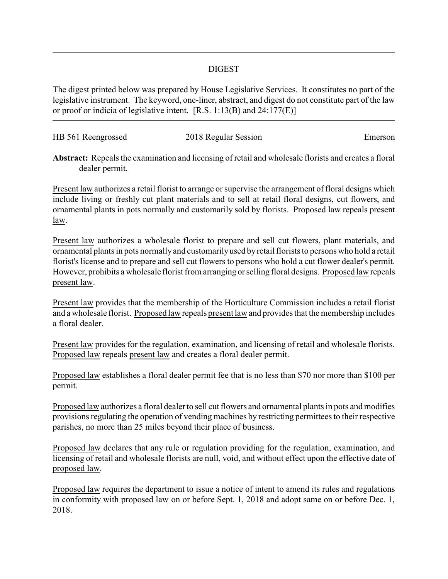## DIGEST

The digest printed below was prepared by House Legislative Services. It constitutes no part of the legislative instrument. The keyword, one-liner, abstract, and digest do not constitute part of the law or proof or indicia of legislative intent. [R.S. 1:13(B) and 24:177(E)]

| HB 561 Reengrossed | 2018 Regular Session | Emerson |
|--------------------|----------------------|---------|
|                    |                      |         |

**Abstract:** Repeals the examination and licensing of retail and wholesale florists and creates a floral dealer permit.

Present law authorizes a retail florist to arrange or supervise the arrangement of floral designs which include living or freshly cut plant materials and to sell at retail floral designs, cut flowers, and ornamental plants in pots normally and customarily sold by florists. Proposed law repeals present law.

Present law authorizes a wholesale florist to prepare and sell cut flowers, plant materials, and ornamental plants in pots normally and customarilyused byretail florists to persons who hold a retail florist's license and to prepare and sell cut flowers to persons who hold a cut flower dealer's permit. However, prohibits a wholesale florist from arranging or selling floral designs. Proposed law repeals present law.

Present law provides that the membership of the Horticulture Commission includes a retail florist and a wholesale florist. Proposed law repeals present law and provides that the membership includes a floral dealer.

Present law provides for the regulation, examination, and licensing of retail and wholesale florists. Proposed law repeals present law and creates a floral dealer permit.

Proposed law establishes a floral dealer permit fee that is no less than \$70 nor more than \$100 per permit.

Proposed law authorizes a floral dealer to sell cut flowers and ornamental plants in pots and modifies provisions regulating the operation of vending machines by restricting permittees to their respective parishes, no more than 25 miles beyond their place of business.

Proposed law declares that any rule or regulation providing for the regulation, examination, and licensing of retail and wholesale florists are null, void, and without effect upon the effective date of proposed law.

Proposed law requires the department to issue a notice of intent to amend its rules and regulations in conformity with proposed law on or before Sept. 1, 2018 and adopt same on or before Dec. 1, 2018.